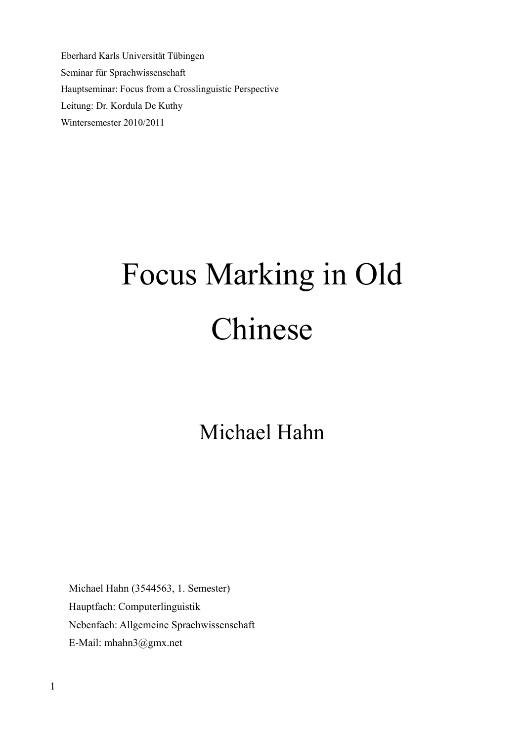Eberhard Karls Universität Tübingen Seminar für Sprachwissenschaft Hauptseminar: Focus from a Crosslinguistic Perspective Leitung: Dr. Kordula De Kuthy Wintersemester 2010/2011

# Focus Marking in Old Chinese

# Michael Hahn

Michael Hahn (3544563, 1. Semester) Hauptfach: Computerlinguistik Nebenfach: Allgemeine Sprachwissenschaft E-Mail: mhahn3@gmx.net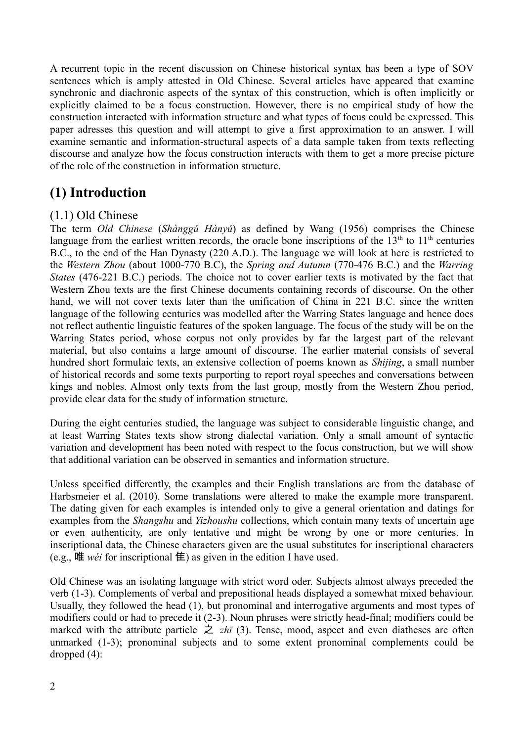A recurrent topic in the recent discussion on Chinese historical syntax has been a type of SOV sentences which is amply attested in Old Chinese. Several articles have appeared that examine synchronic and diachronic aspects of the syntax of this construction, which is often implicitly or explicitly claimed to be a focus construction. However, there is no empirical study of how the construction interacted with information structure and what types of focus could be expressed. This paper adresses this question and will attempt to give a first approximation to an answer. I will examine semantic and information-structural aspects of a data sample taken from texts reflecting discourse and analyze how the focus construction interacts with them to get a more precise picture of the role of the construction in information structure.

# **(1) Introduction**

#### (1.1) Old Chinese

The term *Old Chinese* (*Shànggǔ Hànyǔ*) as defined by Wang (1956) comprises the Chinese language from the earliest written records, the oracle bone inscriptions of the  $13<sup>th</sup>$  to  $11<sup>th</sup>$  centuries B.C., to the end of the Han Dynasty (220 A.D.). The language we will look at here is restricted to the *Western Zhou* (about 1000-770 B.C), the *Spring and Autumn* (770-476 B.C.) and the *Warring States* (476-221 B.C.) periods. The choice not to cover earlier texts is motivated by the fact that Western Zhou texts are the first Chinese documents containing records of discourse. On the other hand, we will not cover texts later than the unification of China in 221 B.C. since the written language of the following centuries was modelled after the Warring States language and hence does not reflect authentic linguistic features of the spoken language. The focus of the study will be on the Warring States period, whose corpus not only provides by far the largest part of the relevant material, but also contains a large amount of discourse. The earlier material consists of several hundred short formulaic texts, an extensive collection of poems known as *Shijing*, a small number of historical records and some texts purporting to report royal speeches and conversations between kings and nobles. Almost only texts from the last group, mostly from the Western Zhou period, provide clear data for the study of information structure.

During the eight centuries studied, the language was subject to considerable linguistic change, and at least Warring States texts show strong dialectal variation. Only a small amount of syntactic variation and development has been noted with respect to the focus construction, but we will show that additional variation can be observed in semantics and information structure.

Unless specified differently, the examples and their English translations are from the database of Harbsmeier et al. (2010). Some translations were altered to make the example more transparent. The dating given for each examples is intended only to give a general orientation and datings for examples from the *Shangshu* and *Yizhoushu* collections, which contain many texts of uncertain age or even authenticity, are only tentative and might be wrong by one or more centuries. In inscriptional data, the Chinese characters given are the usual substitutes for inscriptional characters (e.g., 唯 *wéi* for inscriptional **隹**) as given in the edition I have used.

Old Chinese was an isolating language with strict word oder. Subjects almost always preceded the verb (1-3). Complements of verbal and prepositional heads displayed a somewhat mixed behaviour. Usually, they followed the head (1), but pronominal and interrogative arguments and most types of modifiers could or had to precede it (2-3). Noun phrases were strictly head-final; modifiers could be marked with the attribute particle  $\dot{\mathcal{Z}}$  *zhī* (3). Tense, mood, aspect and even diatheses are often unmarked (1-3); pronominal subjects and to some extent pronominal complements could be dropped (4):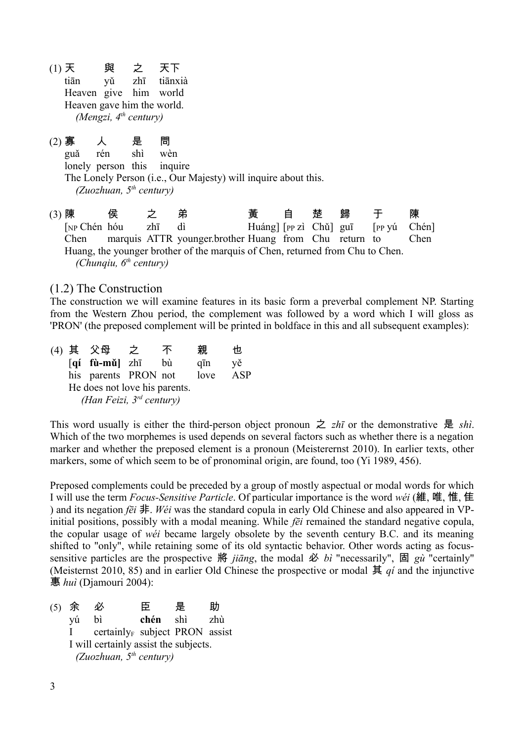- (1) 天 與 之 天下 tiān yǔ zhī tiānxià Heaven give him world Heaven gave him the world. *(Mengzi, 4th century)*
- (2) 寡 人 是 問 guǎ rén shì wèn lonely person this inquire The Lonely Person (i.e., Our Majesty) will inquire about this. *(Zuozhuan, 5th century)*

(3) 陳 侯 之 弟 黃 自 楚 歸 于 陳 [NP Chén hóu zhī dì Huáng] [PP zì Chǔ] guī [PP yú Chén] Chen marquis ATTR younger.brother Huang from Chu return to Chen Huang, the younger brother of the marquis of Chen, returned from Chu to Chen. *(Chunqiu, 6th century)*

#### (1.2) The Construction

The construction we will examine features in its basic form a preverbal complement NP. Starting from the Western Zhou period, the complement was followed by a word which I will gloss as 'PRON' (the preposed complement will be printed in boldface in this and all subsequent examples):

(4) 其 父母 之 不 親 也 [**qí fù-mǔ]** zhī bù qīn yě his parents PRON not love ASP He does not love his parents. *(Han Feizi, 3rd century)*

This word usually is either the third-person object pronoun  $\geq zh\bar{i}$  or the demonstrative 是 *shì*. Which of the two morphemes is used depends on several factors such as whether there is a negation marker and whether the preposed element is a pronoun (Meisterernst 2010). In earlier texts, other markers, some of which seem to be of pronominal origin, are found, too (Yi 1989, 456).

Preposed complements could be preceded by a group of mostly aspectual or modal words for which I will use the term *Focus-Sensitive Particle*. Of particular importance is the word *wéi* (維, 唯, 惟, 隹 ) and its negation *fēi* 非. *Wéi* was the standard copula in early Old Chinese and also appeared in VPinitial positions, possibly with a modal meaning. While *fēi* remained the standard negative copula, the copular usage of *wéi* became largely obsolete by the seventh century B.C. and its meaning shifted to "only", while retaining some of its old syntactic behavior. Other words acting as focussensitive particles are the prospective 將 *jiāng*, the modal 必 *bì* "necessarily", 固 *gù* "certainly" (Meisternst 2010, 85) and in earlier Old Chinese the prospective or modal  $\sharp$  *qi* and the injunctive 惠 *huì* (Djamouri 2004):

(5) 余 必 臣 是 助 yú bì **chén** shì zhù I certainly<sub>F</sub> subject PRON assist I will certainly assist the subjects. *(Zuozhuan, 5th century)*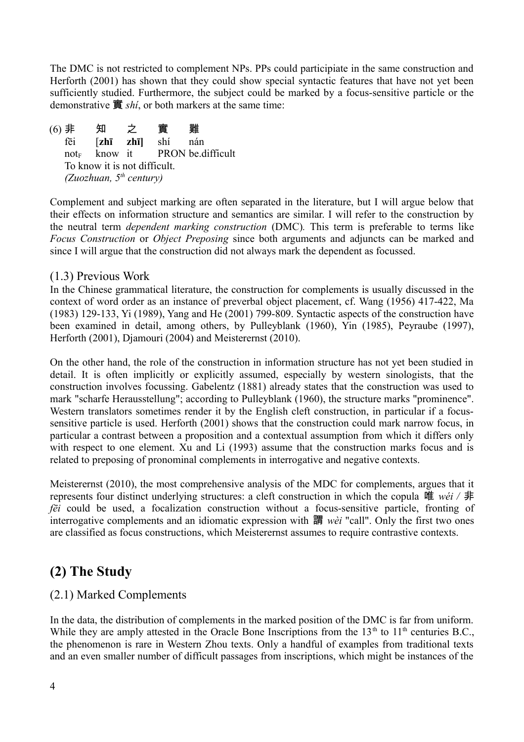The DMC is not restricted to complement NPs. PPs could participiate in the same construction and Herforth (2001) has shown that they could show special syntactic features that have not yet been sufficiently studied. Furthermore, the subject could be marked by a focus-sensitive particle or the demonstrative 實 *shí*, or both markers at the same time:

(6) 非 知 之 實 難 fēi [**zhī zhī]** shí nán  $not_{E}$  know it PRON be difficult To know it is not difficult. *(Zuozhuan, 5th century)*

Complement and subject marking are often separated in the literature, but I will argue below that their effects on information structure and semantics are similar. I will refer to the construction by the neutral term *dependent marking construction* (DMC)*.* This term is preferable to terms like *Focus Construction* or *Object Preposing* since both arguments and adjuncts can be marked and since I will argue that the construction did not always mark the dependent as focussed.

#### (1.3) Previous Work

In the Chinese grammatical literature, the construction for complements is usually discussed in the context of word order as an instance of preverbal object placement, cf. Wang (1956) 417-422, Ma (1983) 129-133, Yi (1989), Yang and He (2001) 799-809. Syntactic aspects of the construction have been examined in detail, among others, by Pulleyblank (1960), Yin (1985), Peyraube (1997), Herforth (2001), Djamouri (2004) and Meisterernst (2010).

On the other hand, the role of the construction in information structure has not yet been studied in detail. It is often implicitly or explicitly assumed, especially by western sinologists, that the construction involves focussing. Gabelentz (1881) already states that the construction was used to mark "scharfe Herausstellung"; according to Pulleyblank (1960), the structure marks "prominence". Western translators sometimes render it by the English cleft construction, in particular if a focussensitive particle is used. Herforth (2001) shows that the construction could mark narrow focus, in particular a contrast between a proposition and a contextual assumption from which it differs only with respect to one element. Xu and Li (1993) assume that the construction marks focus and is related to preposing of pronominal complements in interrogative and negative contexts.

Meisterernst (2010), the most comprehensive analysis of the MDC for complements, argues that it represents four distinct underlying structures: a cleft construction in which the copula 唯 *wéi /* 非 *fēi* could be used, a focalization construction without a focus-sensitive particle, fronting of interrogative complements and an idiomatic expression with 謂 *wèi* "call". Only the first two ones are classified as focus constructions, which Meisterernst assumes to require contrastive contexts.

### **(2) The Study**

#### (2.1) Marked Complements

In the data, the distribution of complements in the marked position of the DMC is far from uniform. While they are amply attested in the Oracle Bone Inscriptions from the  $13<sup>th</sup>$  to  $11<sup>th</sup>$  centuries B.C., the phenomenon is rare in Western Zhou texts. Only a handful of examples from traditional texts and an even smaller number of difficult passages from inscriptions, which might be instances of the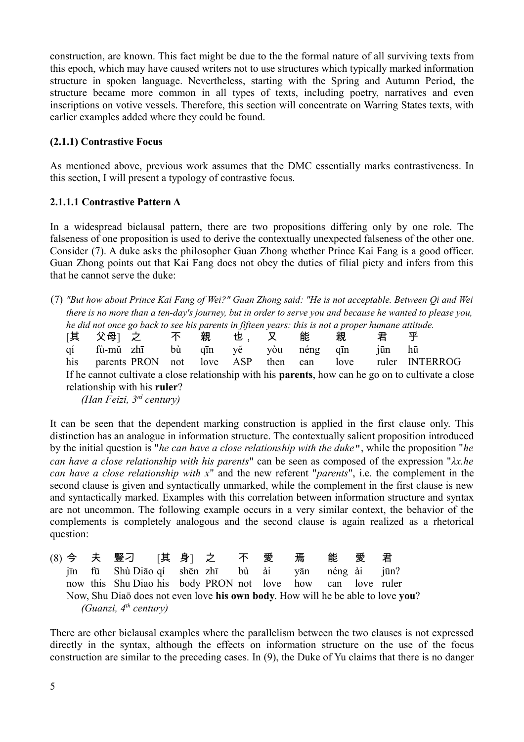construction, are known. This fact might be due to the the formal nature of all surviving texts from this epoch, which may have caused writers not to use structures which typically marked information structure in spoken language. Nevertheless, starting with the Spring and Autumn Period, the structure became more common in all types of texts, including poetry, narratives and even inscriptions on votive vessels. Therefore, this section will concentrate on Warring States texts, with earlier examples added where they could be found.

#### **(2.1.1) Contrastive Focus**

As mentioned above, previous work assumes that the DMC essentially marks contrastiveness. In this section, I will present a typology of contrastive focus.

#### **2.1.1.1 Contrastive Pattern A**

In a widespread biclausal pattern, there are two propositions differing only by one role. The falseness of one proposition is used to derive the contextually unexpected falseness of the other one. Consider (7). A duke asks the philosopher Guan Zhong whether Prince Kai Fang is a good officer. Guan Zhong points out that Kai Fang does not obey the duties of filial piety and infers from this that he cannot serve the duke:

(7) *"But how about Prince Kai Fang of Wei?" Guan Zhong said: "He is not acceptable. Between Qi and Wei there is no more than a ten-day's journey, but in order to serve you and because he wanted to please you, he did not once go back to see his parents in fifteen years: this is not a proper humane attitude.* 

|                              |  | 「其り父母」という不                    |  | 親 | 也. |          | 能    | 親    | 君    | 平                                                                                                           |
|------------------------------|--|-------------------------------|--|---|----|----------|------|------|------|-------------------------------------------------------------------------------------------------------------|
|                              |  | qí fù-mǔ zhī bù qīn           |  |   | vě | vòu      | néng | aīn  | 1ūn. | hū                                                                                                          |
|                              |  | his parents PRON not love ASP |  |   |    | then can |      | love |      | ruler INTERROG                                                                                              |
|                              |  |                               |  |   |    |          |      |      |      | If he cannot cultivate a close relationship with his <b>parents</b> , how can he go on to cultivate a close |
| relationship with his ruler? |  |                               |  |   |    |          |      |      |      |                                                                                                             |

*(Han Feizi, 3rd century)*

It can be seen that the dependent marking construction is applied in the first clause only. This distinction has an analogue in information structure. The contextually salient proposition introduced by the initial question is "*he can have a close relationship with the duke*", while the proposition "*he can have a close relationship with his parents*" can be seen as composed of the expression "*λx.he can have a close relationship with x*" and the new referent "*parents*", i.e. the complement in the second clause is given and syntactically unmarked, while the complement in the first clause is new and syntactically marked. Examples with this correlation between information structure and syntax are not uncommon. The following example occurs in a very similar context, the behavior of the complements is completely analogous and the second clause is again realized as a rhetorical question:

|  | (8) 今 夫 豎刁 [其 身] 之   不 愛                                                        |  |  | 焉 | 能 | 愛 君 |  |
|--|---------------------------------------------------------------------------------|--|--|---|---|-----|--|
|  | jīn fū Shù Diāo qí shēn zhī bù ài yān néng ài jūn?                              |  |  |   |   |     |  |
|  | now this Shu Diao his body PRON not love how can love ruler                     |  |  |   |   |     |  |
|  | Now, Shu Diao does not even love his own body. How will he be able to love you? |  |  |   |   |     |  |
|  | (Guanzi, $4^{th}$ century)                                                      |  |  |   |   |     |  |

There are other biclausal examples where the parallelism between the two clauses is not expressed directly in the syntax, although the effects on information structure on the use of the focus construction are similar to the preceding cases. In (9), the Duke of Yu claims that there is no danger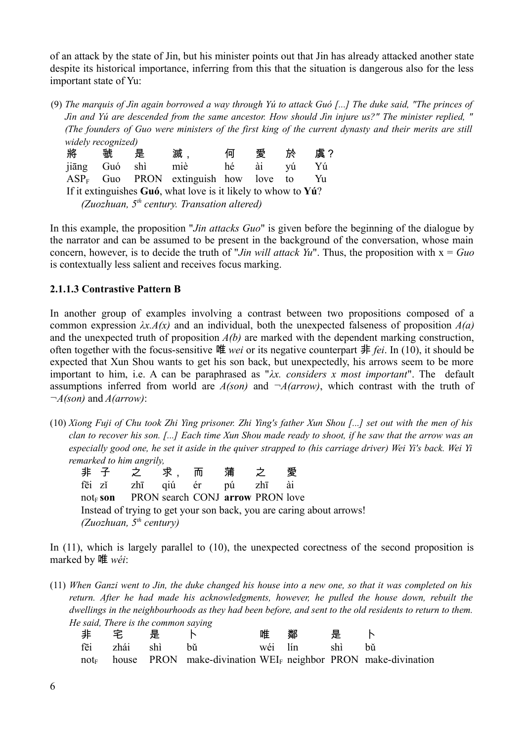of an attack by the state of Jin, but his minister points out that Jin has already attacked another state despite its historical importance, inferring from this that the situation is dangerous also for the less important state of Yu:

(9) *The marquis of Jìn again borrowed a way through Yú to attack Guó [...] The duke said, "The princes of Jìn and Yú are descended from the same ancestor. How should Jìn injure us?" The minister replied, " (The founders of Guo were ministers of the first king of the current dynasty and their merits are still widely recognized)*

| 將                                                                           | 虢   | 是   | 滅                                       | 何  | 愛  | 於  | 虘? |  |  |
|-----------------------------------------------------------------------------|-----|-----|-----------------------------------------|----|----|----|----|--|--|
| jiāng                                                                       | Guó | shì | miè                                     | hé | ài | vú | Yú |  |  |
|                                                                             |     |     | $ASP_F$ Guo PRON extinguish how love to |    |    |    | Yu |  |  |
| If it extinguishes $Gu6$ , what love is it likely to whow to $Y\acute{u}$ ? |     |     |                                         |    |    |    |    |  |  |
| (Zuozhuan, $5th$ century. Transation altered)                               |     |     |                                         |    |    |    |    |  |  |

In this example, the proposition "*Jin attacks Guo*" is given before the beginning of the dialogue by the narrator and can be assumed to be present in the background of the conversation, whose main concern, however, is to decide the truth of "*Jin will attack Yu*". Thus, the proposition with x = *Guo* is contextually less salient and receives focus marking.

#### **2.1.1.3 Contrastive Pattern B**

In another group of examples involving a contrast between two propositions composed of a common expression *λx.A(x)* and an individual, both the unexpected falseness of proposition *A(a)* and the unexpected truth of proposition *A(b)* are marked with the dependent marking construction, often together with the focus-sensitive 唯 *wei* or its negative counterpart 非 *fei*. In (10), it should be expected that Xun Shou wants to get his son back, but unexpectedly, his arrows seem to be more important to him, i.e. A can be paraphrased as "*λx. considers x most important*". The default assumptions inferred from world are  $A(son)$  and  $\neg A(arrow)$ , which contrast with the truth of *¬A(son)* and *A(arrow)*:

- (10) *Xiong Fuji of Chu took Zhi Ying prisoner. Zhi Ying's father Xun Shou [...] set out with the men of his clan to recover his son. [...] Each time Xun Shou made ready to shoot, if he saw that the arrow was an especially good one, he set it aside in the quiver strapped to (his carriage driver) Wei Yi's back. Wei Yi remarked to him angrily,*
	- 非 子 之 支 求, 而 蒲 之 愛 fēi zǐ zhī qiú ér pú zhī ài not<sub>E</sub> son PRON search CONJ **arrow** PRON love Instead of trying to get your son back, you are caring about arrows! *(Zuozhuan, 5th century)*

In (11), which is largely parallel to (10), the unexpected corectness of the second proposition is marked by 唯 *wéi*:

(11) *When Ganzi went to Jin, the duke changed his house into a new one, so that it was completed on his return. After he had made his acknowledgments, however, he pulled the house down, rebuilt the dwellings in the neighbourhoods as they had been before, and sent to the old residents to return to them. He said, There is the common saying*

| まいます いちじょう かんしゃ かんしゃ かんしゃ まんしゃ まんしゃ まんしゃ まんしゃ まんしゃ まんしゃ まんしゃ |                                                                                   | 唯鄰是卜 |  |
|--------------------------------------------------------------|-----------------------------------------------------------------------------------|------|--|
|                                                              | fēi zhái shì bǔ wéi lín shì bǔ                                                    |      |  |
|                                                              | $not_F$ house PRON make-divination WEI <sub>F</sub> neighbor PRON make-divination |      |  |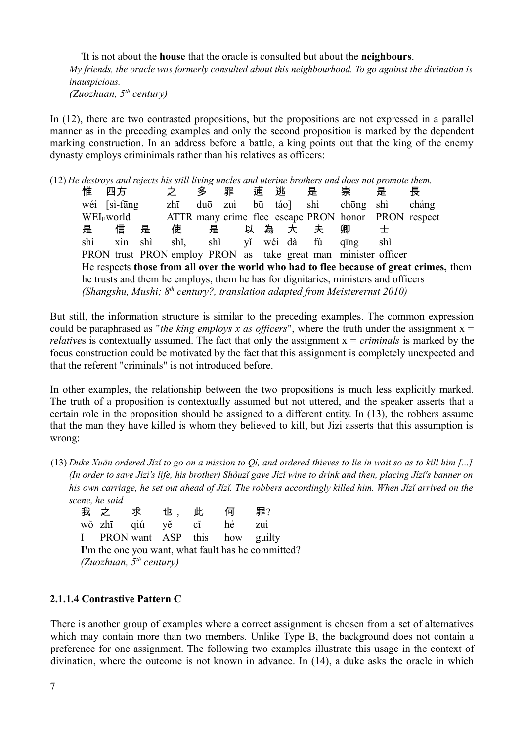'It is not about the **house** that the oracle is consulted but about the **neighbours**. *My friends, the oracle was formerly consulted about this neighbourhood. To go against the divination is inauspicious. (Zuozhuan, 5th century)*

In (12), there are two contrasted propositions, but the propositions are not expressed in a parallel manner as in the preceding examples and only the second proposition is marked by the dependent marking construction. In an address before a battle, a king points out that the king of the enemy dynasty employs criminimals rather than his relatives as officers:

(12) *He destroys and rejects his still living uncles and uterine brothers and does not promote them.* 

惟 四方 之 多 罪 逋 逃 是 崇 是 長 wéi [sì-fāng zhī duō zuì bū táo] shì chōng shì cháng WEI<sub>F</sub>world ATTR many crime flee escape PRON honor PRON respect 是 信 是 使 是 以 為 大 夫 卿 士 shì xìn shì shǐ, shì yǐ wéi dà fú qīng shì PRON trust PRON employ PRON as take great man minister officer He respects **those from all over the world who had to flee because of great crimes,** them he trusts and them he employs, them he has for dignitaries, ministers and officers *(Shangshu, Mushi; 8th century?, translation adapted from Meisterernst 2010)*

But still, the information structure is similar to the preceding examples. The common expression could be paraphrased as "*the king employs x as officers*", where the truth under the assignment  $x =$ *relatives* is contextually assumed. The fact that only the assignment  $x = *criminals*$  is marked by the focus construction could be motivated by the fact that this assignment is completely unexpected and that the referent "criminals" is not introduced before.

In other examples, the relationship between the two propositions is much less explicitly marked. The truth of a proposition is contextually assumed but not uttered, and the speaker asserts that a certain role in the proposition should be assigned to a different entity. In (13), the robbers assume that the man they have killed is whom they believed to kill, but Jizi asserts that this assumption is wrong:

(13) *Duke Xuān ordered Jízǐ to go on a mission to Qí, and ordered thieves to lie in wait so as to kill him [...] (In order to save Jizi's life, his brother) Shòuzǐ gave Jízǐ wine to drink and then, placing Jízǐ's banner on his own carriage, he set out ahead of Jízǐ. The robbers accordingly killed him. When Jízǐ arrived on the scene, he said*

|                                                    | 我之求也,此何             |  |  |  |                                 | 罪?  |  |  |
|----------------------------------------------------|---------------------|--|--|--|---------------------------------|-----|--|--|
|                                                    | wǒ zhī qiú yě cǐ hé |  |  |  |                                 | zuì |  |  |
|                                                    |                     |  |  |  | I PRON want ASP this how guilty |     |  |  |
| I'm the one you want, what fault has he committed? |                     |  |  |  |                                 |     |  |  |
| (Zuozhuan, $5^{th}$ century)                       |                     |  |  |  |                                 |     |  |  |

#### **2.1.1.4 Contrastive Pattern C**

There is another group of examples where a correct assignment is chosen from a set of alternatives which may contain more than two members. Unlike Type B, the background does not contain a preference for one assignment. The following two examples illustrate this usage in the context of divination, where the outcome is not known in advance. In (14), a duke asks the oracle in which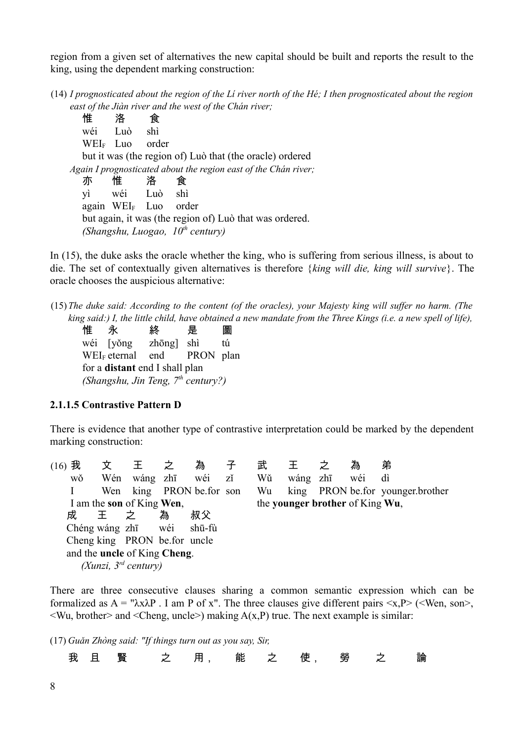region from a given set of alternatives the new capital should be built and reports the result to the king, using the dependent marking construction:

(14) *I prognosticated about the region of the Lí river north of the Hé; I then prognosticated about the region east of the Jiàn river and the west of the Chán river;*

惟 洛 食 wéi Luò shì WEI<sup>F</sup> Luo order but it was (the region of) Luò that (the oracle) ordered *Again I prognosticated about the region east of the Chán river;*  亦 惟 洛 食 yì wéi Luò shì again WEI<sup>F</sup> Luo order but again, it was (the region of) Luò that was ordered. *(Shangshu, Luogao, 10th century)*

In (15), the duke asks the oracle whether the king, who is suffering from serious illness, is about to die. The set of contextually given alternatives is therefore {*king will die, king will survive*}. The oracle chooses the auspicious alternative:

(15)*The duke said: According to the content (of the oracles), your Majesty king will suffer no harm. (The king said:) I, the little child, have obtained a new mandate from the Three Kings (i.e. a new spell of life),*

惟 永 終 是 圖 wéi [yǒng zhōng] shì tú WEI<sub>F</sub> eternal end PRON plan for a **distant** end I shall plan *(Shangshu, Jin Teng, 7th century?)*

#### **2.1.1.5 Contrastive Pattern D**

There is evidence that another type of contrastive interpretation could be marked by the dependent marking construction:

| 我<br>(16) | 文   |                                     |   | 為  | 子  | 武  |                                 | 為   | 弟                                |
|-----------|-----|-------------------------------------|---|----|----|----|---------------------------------|-----|----------------------------------|
| wŏ        | Wén | wáng zhī wéi                        |   |    | zĭ | Wŭ | wáng zhī                        | wéi | dì                               |
|           |     | Wen king PRON be for son            |   |    |    | Wu |                                 |     | king PRON be for younger brother |
|           |     | I am the son of King Wen,           |   |    |    |    | the younger brother of King Wu, |     |                                  |
| 成         | 王   | 之                                   | 為 | 叔父 |    |    |                                 |     |                                  |
|           |     | Chéng wáng zhī wéi shū-fù           |   |    |    |    |                                 |     |                                  |
|           |     | Cheng king PRON befor uncle         |   |    |    |    |                                 |     |                                  |
|           |     | and the <b>uncle</b> of King Cheng. |   |    |    |    |                                 |     |                                  |
|           |     | (Xunzi, $3^{rd}$ century)           |   |    |    |    |                                 |     |                                  |

There are three consecutive clauses sharing a common semantic expression which can be formalized as  $A = " \lambda x \lambda P$ . I am P of x". The three clauses give different pairs  $\langle x, P \rangle$  ( $\langle$ Wen, son $\rangle$ ,  $\langle W_u, \text{brother} \rangle$  and  $\langle \text{Cheng}, \text{uncle} \rangle$  making  $A(x, P)$  true. The next example is similar:

(17) *Guǎn Zhòng said: "If things turn out as you say, Sir,*

我 且 賢 之 用, 能 之 使, 勞 之 論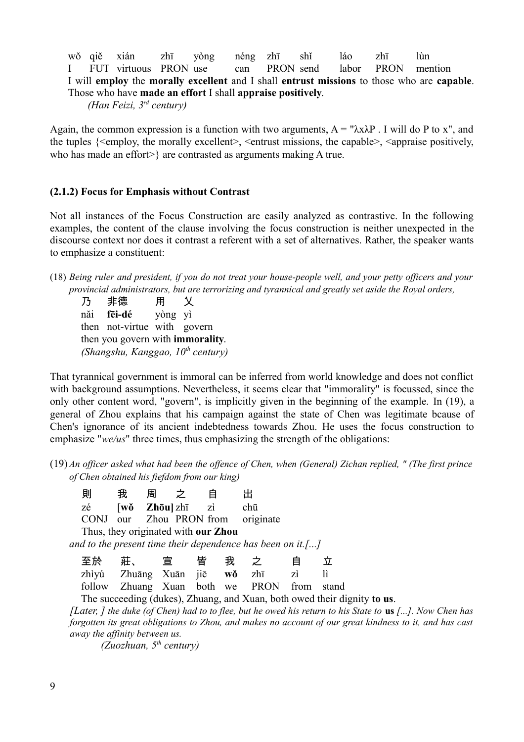wǒ qiě xián zhī yòng néng zhī shǐ láo zhī lùn I FUT virtuous PRON use can PRON send labor PRON mention I will **employ** the **morally excellent** and I shall **entrust missions** to those who are **capable**. Those who have **made an effort** I shall **appraise positively**.

*(Han Feizi, 3rd century)*

Again, the common expression is a function with two arguments,  $A = "λxλP$ . I will do P to x", and the tuples  $\{\leq m$  blog the morally excellent  $\geq$ ,  $\leq m$  trust missions, the capable  $\geq$ ,  $\leq$  appraise positively, who has made an effort>} are contrasted as arguments making A true.

#### **(2.1.2) Focus for Emphasis without Contrast**

Not all instances of the Focus Construction are easily analyzed as contrastive. In the following examples, the content of the clause involving the focus construction is neither unexpected in the discourse context nor does it contrast a referent with a set of alternatives. Rather, the speaker wants to emphasize a constituent:

(18) *Being ruler and president, if you do not treat your house-people well, and your petty officers and your provincial administrators, but are terrorizing and tyrannical and greatly set aside the Royal orders,* 

乃 非德 用 乂 nǎi **fēi-dé** yòng yì then not-virtue with govern then you govern with **immorality**. *(Shangshu, Kanggao, 10th century)*

That tyrannical government is immoral can be inferred from world knowledge and does not conflict with background assumptions. Nevertheless, it seems clear that "immorality" is focussed, since the only other content word, "govern", is implicitly given in the beginning of the example. In (19), a general of Zhou explains that his campaign against the state of Chen was legitimate bcause of Chen's ignorance of its ancient indebtedness towards Zhou. He uses the focus construction to emphasize "*we/us*" three times, thus emphasizing the strength of the obligations:

(19) *An officer asked what had been the offence of Chen, when (General) Zichan replied, " (The first prince of Chen obtained his fiefdom from our king)*

| 則  | 我 | 周                                        | − ⊅ |                                     |                                                            |  |
|----|---|------------------------------------------|-----|-------------------------------------|------------------------------------------------------------|--|
| zé |   | $[w\delta \quad Zh\bar{\sigma}u]$ zhī zì |     |                                     | chū                                                        |  |
|    |   |                                          |     |                                     | CONJ our Zhou PRON from originate                          |  |
|    |   |                                          |     | Thus, they originated with our Zhou |                                                            |  |
|    |   |                                          |     |                                     | and to the present time their dependence has been on it.[] |  |
|    |   |                                          |     |                                     |                                                            |  |

| 至於り莊、とい宣にと皆を我とえています。                       |  |  |  |
|--------------------------------------------|--|--|--|
| zhìyú Zhuāng Xuān jiē wǒ zhī zì lì         |  |  |  |
| follow Zhuang Xuan both we PRON from stand |  |  |  |

The succeeding (dukes), Zhuang, and Xuan, both owed their dignity **to us**.

*[Later, ] the duke (of Chen) had to to flee, but he owed his return to his State to* **us** *[...]. Now Chen has forgotten its great obligations to Zhou, and makes no account of our great kindness to it, and has cast away the affinity between us.*

*(Zuozhuan, 5th century)*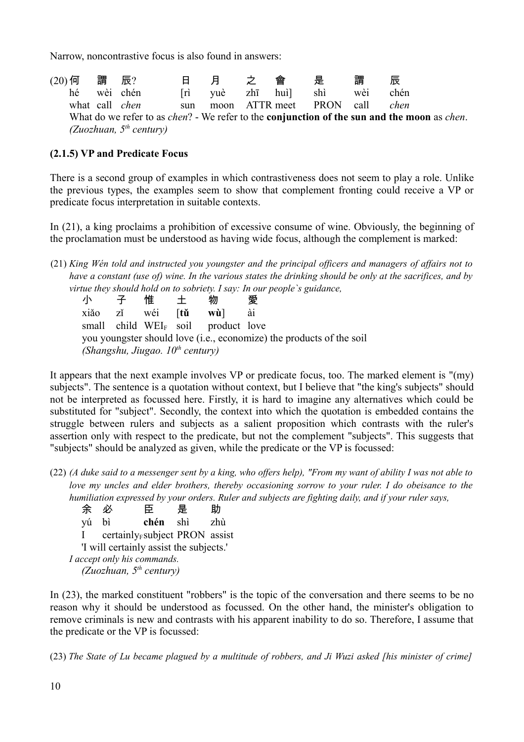Narrow, noncontrastive focus is also found in answers:

(20)何 謂 辰? 日 月 之 會 是 謂 辰 hé wèi chén [rì yuè zhī huì] shì wèi chén what call *chen* sun moon ATTR meet PRON call *chen* What do we refer to as *chen*? - We refer to the **conjunction of the sun and the moon** as *chen*. *(Zuozhuan, 5th century)*

#### **(2.1.5) VP and Predicate Focus**

There is a second group of examples in which contrastiveness does not seem to play a role. Unlike the previous types, the examples seem to show that complement fronting could receive a VP or predicate focus interpretation in suitable contexts.

In (21), a king proclaims a prohibition of excessive consume of wine. Obviously, the beginning of the proclamation must be understood as having wide focus, although the complement is marked:

(21) *King Wén told and instructed you youngster and the principal officers and managers of affairs not to have a constant (use of) wine. In the various states the drinking should be only at the sacrifices, and by virtue they should hold on to sobriety. I say: In our people`s guidance,*

小 子 惟 土 物 愛 xiǎo zǐ wéi [**tǔ wù**] ài small child WEI<sub>F</sub> soil product love you youngster should love (i.e., economize) the products of the soil *(Shangshu, Jiugao. 10th century)*

It appears that the next example involves VP or predicate focus, too. The marked element is "(my) subjects". The sentence is a quotation without context, but I believe that "the king's subjects" should not be interpreted as focussed here. Firstly, it is hard to imagine any alternatives which could be substituted for "subject". Secondly, the context into which the quotation is embedded contains the struggle between rulers and subjects as a salient proposition which contrasts with the ruler's assertion only with respect to the predicate, but not the complement "subjects". This suggests that "subjects" should be analyzed as given, while the predicate or the VP is focussed:

(22) *(A duke said to a messenger sent by a king, who offers help), "From my want of ability I was not able to love my uncles and elder brothers, thereby occasioning sorrow to your ruler. I do obeisance to the humiliation expressed by your orders. Ruler and subjects are fighting daily, and if your ruler says,*

| 余            | 必  | 臣                                          | 是   | 助   |
|--------------|----|--------------------------------------------|-----|-----|
| vú           | bì | chén                                       | shì | zhù |
| $\mathbf{L}$ |    | certainly <sub>F</sub> subject PRON assist |     |     |
|              |    | 'I will certainly assist the subjects.'    |     |     |
|              |    | I accept only his commands.                |     |     |
|              |    | (Zuozhuan, $5^{th}$ century)               |     |     |

In (23), the marked constituent "robbers" is the topic of the conversation and there seems to be no reason why it should be understood as focussed. On the other hand, the minister's obligation to remove criminals is new and contrasts with his apparent inability to do so. Therefore, I assume that the predicate or the VP is focussed:

(23) *The State of Lu became plagued by a multitude of robbers, and Ji Wuzi asked [his minister of crime]*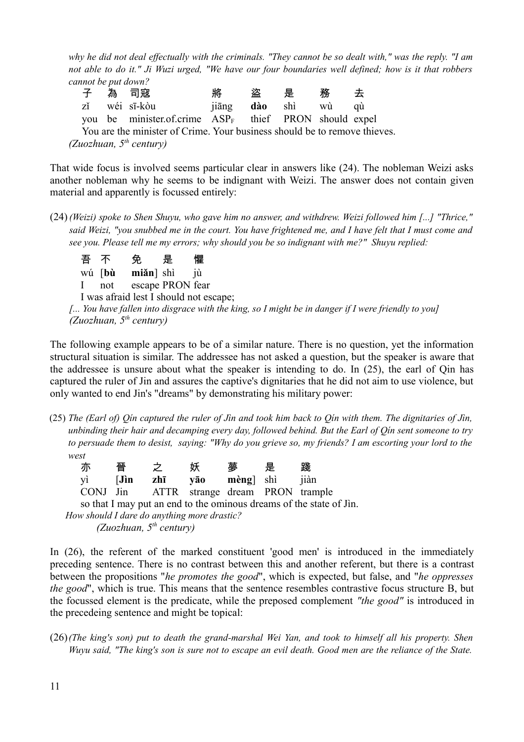*why he did not deal effectually with the criminals. "They cannot be so dealt with," was the reply. "I am not able to do it." Ji Wuzi urged, "We have our four boundaries well defined; how is it that robbers cannot be put down?*

|  | 子  為  司寇                                                                                                                                                                                                                                                                                         | 將 | さんじょう 盗りの是い 務りの去り |  |
|--|--------------------------------------------------------------------------------------------------------------------------------------------------------------------------------------------------------------------------------------------------------------------------------------------------|---|-------------------|--|
|  | zĭ wéi sī-kòu<br>jiāng <b>dào</b> shì wù qù                                                                                                                                                                                                                                                      |   |                   |  |
|  | you be minister.of.crime $ASP_F$ thief PRON should expel                                                                                                                                                                                                                                         |   |                   |  |
|  | $\mathbf{Y}$ and $\mathbf{Y}$ and $\mathbf{Y}$ and $\mathbf{Y}$ and $\mathbf{Y}$ and $\mathbf{Y}$ and $\mathbf{Y}$ and $\mathbf{Y}$ and $\mathbf{Y}$ and $\mathbf{Y}$ and $\mathbf{Y}$ and $\mathbf{Y}$ and $\mathbf{Y}$ and $\mathbf{Y}$ and $\mathbf{Y}$ and $\mathbf{Y}$ and $\mathbf{Y}$ and |   |                   |  |

You are the minister of Crime. Your business should be to remove thieves. *(Zuozhuan, 5th century)*

That wide focus is involved seems particular clear in answers like (24). The nobleman Weizi asks another nobleman why he seems to be indignant with Weizi. The answer does not contain given material and apparently is focussed entirely:

(24)*(Weizi) spoke to Shen Shuyu, who gave him no answer, and withdrew. Weizi followed him [...] "Thrice," said Weizi, "you snubbed me in the court. You have frightened me, and I have felt that I must come and see you. Please tell me my errors; why should you be so indignant with me?" Shuyu replied:*

吾 不 免 是 懼 wú [**bù miǎn**] shì jù I not escape PRON fear I was afraid lest I should not escape; *[... You have fallen into disgrace with the king, so I might be in danger if I were friendly to you] (Zuozhuan, 5th century)*

The following example appears to be of a similar nature. There is no question, yet the information structural situation is similar. The addressee has not asked a question, but the speaker is aware that the addressee is unsure about what the speaker is intending to do. In (25), the earl of Qin has captured the ruler of Jin and assures the captive's dignitaries that he did not aim to use violence, but only wanted to end Jin's "dreams" by demonstrating his military power:

(25) *The (Earl of) Qín captured the ruler of Jìn and took him back to Qín with them. The dignitaries of Jìn, unbinding their hair and decamping every day, followed behind. But the Earl of Qín sent someone to try to persuade them to desist, saying: "Why do you grieve so, my friends? I am escorting your lord to the west*

| 亦 | 晉 | 之 | 妖                                        | 夢 | 是 | 踐 |
|---|---|---|------------------------------------------|---|---|---|
|   |   |   | yì [ <b>Jìn zhī yāo mèng</b> ] shì jiàn  |   |   |   |
|   |   |   | CONJ Jin ATTR strange dream PRON trample |   |   |   |

so that I may put an end to the ominous dreams of the state of Jìn. *How should I dare do anything more drastic? (Zuozhuan, 5th century)*

In (26), the referent of the marked constituent 'good men' is introduced in the immediately preceding sentence. There is no contrast between this and another referent, but there is a contrast between the propositions "*he promotes the good*", which is expected, but false, and "*he oppresses the good*", which is true. This means that the sentence resembles contrastive focus structure B, but the focussed element is the predicate, while the preposed complement *"the good"* is introduced in the precedeing sentence and might be topical:

(26)*(The king's son) put to death the grand-marshal Wei Yan, and took to himself all his property. Shen Wuyu said, "The king's son is sure not to escape an evil death. Good men are the reliance of the State.*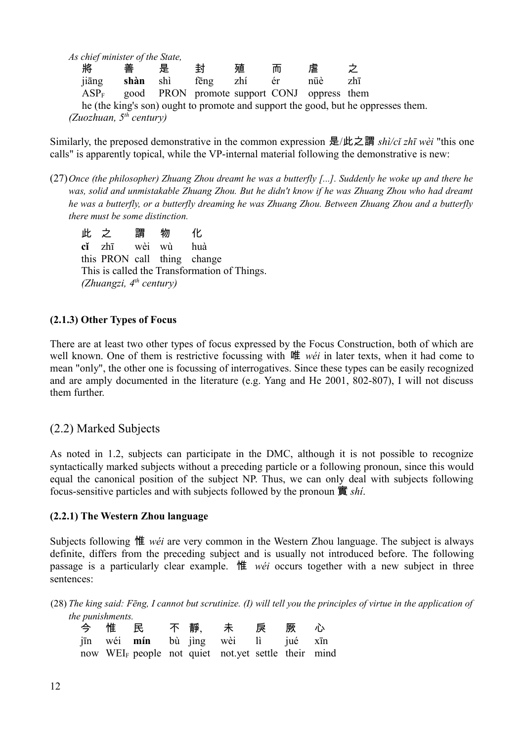|         | As chief minister of the State, |     |                                             |     |    |     |                                                                                   |
|---------|---------------------------------|-----|---------------------------------------------|-----|----|-----|-----------------------------------------------------------------------------------|
| 將       | 善                               | 是   | 놝                                           | 殖   | 血  | 虐   |                                                                                   |
| jiāng   | shàn                            | shì | feng                                        | zhí | ér | nüè | zhī                                                                               |
| $ASP_F$ |                                 |     | good PRON promote support CONJ oppress them |     |    |     |                                                                                   |
|         |                                 |     |                                             |     |    |     | he (the king's son) ought to promote and support the good, but he oppresses them. |
|         | (Zuozhuan, $5^{th}$ century)    |     |                                             |     |    |     |                                                                                   |

Similarly, the preposed demonstrative in the common expression 是/此之謂 *shì/cǐ zhī wèi* "this one calls" is apparently topical, while the VP-internal material following the demonstrative is new:

(27)*Once (the philosopher) Zhuang Zhou dreamt he was a butterfly [...]. Suddenly he woke up and there he was, solid and unmistakable Zhuang Zhou. But he didn't know if he was Zhuang Zhou who had dreamt he was a butterfly, or a butterfly dreaming he was Zhuang Zhou. Between Zhuang Zhou and a butterfly there must be some distinction.*

此 之 謂 物 化 **cǐ** zhī wèi wù huà this PRON call thing change This is called the Transformation of Things. *(Zhuangzi, 4th century)*

#### **(2.1.3) Other Types of Focus**

There are at least two other types of focus expressed by the Focus Construction, both of which are well known. One of them is restrictive focussing with 唯 *wéi* in later texts, when it had come to mean "only", the other one is focussing of interrogatives. Since these types can be easily recognized and are amply documented in the literature (e.g. Yang and He 2001, 802-807), I will not discuss them further.

#### (2.2) Marked Subjects

As noted in 1.2, subjects can participate in the DMC, although it is not possible to recognize syntactically marked subjects without a preceding particle or a following pronoun, since this would equal the canonical position of the subject NP. Thus, we can only deal with subjects following focus-sensitive particles and with subjects followed by the pronoun 實 *shí*.

#### **(2.2.1) The Western Zhou language**

Subjects following 惟 *wéi* are very common in the Western Zhou language. The subject is always definite, differs from the preceding subject and is usually not introduced before. The following passage is a particularly clear example. 惟 *wéi* occurs together with a new subject in three sentences:

(28) *The king said: Fēng, I cannot but scrutinize. (I) will tell you the principles of virtue in the application of the punishments.*

|  |  | 今 惟 民  不 靜  未  戾  厥  心                                          |  |  |
|--|--|-----------------------------------------------------------------|--|--|
|  |  | jīn wéi <b>mín</b> bù jìng wèi lì jué xīn                       |  |  |
|  |  | now WEI <sub>F</sub> people not quiet not yet settle their mind |  |  |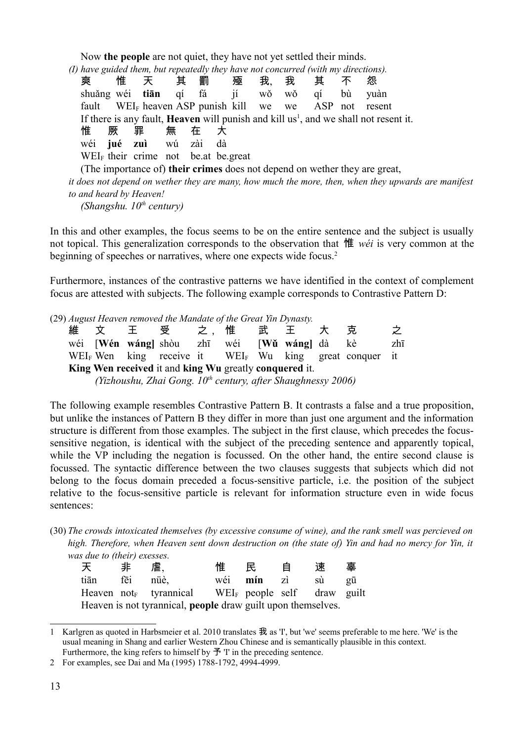Now **the people** are not quiet, they have not yet settled their minds.

*(I) have guided them, but repeatedly they have not concurred (with my directions).*

爽 惟 天 其 罰 殛 我 我 其 不 怨 shuǎng wéi **tiān** qí fá jí wǒ wǒ qí bù yuàn fault WEI<sup>F</sup> heaven ASP punish kill we we ASP not resent If there is any fault, **Heaven** will punish and kill us<sup>[1](#page-12-0)</sup>, and we shall not resent it. 惟 厥 罪 無 在 大 wéi **jué zuì** wú zài dà  $WEL<sub>F</sub>$  their crime not be.at be.great (The importance of) **their crimes** does not depend on wether they are great, *it does not depend on wether they are many, how much the more, then, when they upwards are manifest to and heard by Heaven! (Shangshu. 10th century)*

In this and other examples, the focus seems to be on the entire sentence and the subject is usually not topical. This generalization corresponds to the observation that 惟 *wéi* is very common at the beginning of speeches or narratives, where one expects wide focus.<sup>[2](#page-12-1)</sup>

Furthermore, instances of the contrastive patterns we have identified in the context of complement focus are attested with subjects. The following example corresponds to Contrastive Pattern D:

(29) *August Heaven removed the Mandate of the Great Yin Dynasty.*

維 文 王 受 之,惟 武 王 大 克 之 wéi [**Wén wáng]** shòu zhī wéi [**Wǔ wáng]** dà kè zhī WEI<sub>F</sub> Wen king receive it WEI<sub>F</sub> Wu king great conquer it **King Wen received** it and **king Wu** greatly **conquered** it. *(Yizhoushu, Zhai Gong. 10th century, after Shaughnessy 2006)*

The following example resembles Contrastive Pattern B. It contrasts a false and a true proposition, but unlike the instances of Pattern B they differ in more than just one argument and the information structure is different from those examples. The subject in the first clause, which precedes the focussensitive negation, is identical with the subject of the preceding sentence and apparently topical, while the VP including the negation is focussed. On the other hand, the entire second clause is focussed. The syntactic difference between the two clauses suggests that subjects which did not belong to the focus domain preceded a focus-sensitive particle, i.e. the position of the subject relative to the focus-sensitive particle is relevant for information structure even in wide focus sentences:

(30) *The crowds intoxicated themselves (by excessive consume of wine), and the rank smell was percieved on high. Therefore, when Heaven sent down destruction on (the state of) Yin and had no mercy for Yin, it was due to (their) exesses.*

| 天                                                                   | 非        | 虐.                                                                         | 惟 | 民                 | 自 | 速  | 辜  |  |  |
|---------------------------------------------------------------------|----------|----------------------------------------------------------------------------|---|-------------------|---|----|----|--|--|
| tiān                                                                | fēi nüè, |                                                                            |   | wéi <b>mín</b> zì |   | sù | gu |  |  |
|                                                                     |          | Heaven not <sub>F</sub> tyrannical WEI <sub>F</sub> people self draw guilt |   |                   |   |    |    |  |  |
| Heaven is not tyrannical, <b>people</b> draw guilt upon themselves. |          |                                                                            |   |                   |   |    |    |  |  |

<span id="page-12-0"></span><sup>1</sup> Karlgren as quoted in Harbsmeier et al. 2010 translates 我 as 'I', but 'we' seems preferable to me here. 'We' is the usual meaning in Shang and earlier Western Zhou Chinese and is semantically plausible in this context. Furthermore, the king refers to himself by  $\tilde{\mathcal{F}}$  'I' in the preceding sentence.

<span id="page-12-1"></span><sup>2</sup> For examples, see Dai and Ma (1995) 1788-1792, 4994-4999.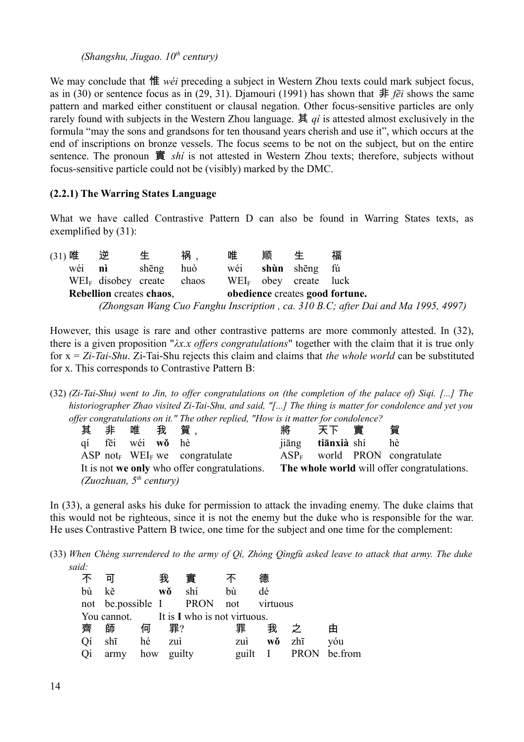*(Shangshu, Jiugao. 10th century)*

We may conclude that 惟 *wéi* preceding a subject in Western Zhou texts could mark subject focus, as in (30) or sentence focus as in (29, 31). Diamouri (1991) has shown that  $\#$  *fēi* shows the same pattern and marked either constituent or clausal negation. Other focus-sensitive particles are only rarely found with subjects in the Western Zhou language. 其 *qí* is attested almost exclusively in the formula "may the sons and grandsons for ten thousand years cherish and use it", which occurs at the end of inscriptions on bronze vessels. The focus seems to be not on the subject, but on the entire sentence. The pronoun 實 *shí* is not attested in Western Zhou texts; therefore, subjects without focus-sensitive particle could not be (visibly) marked by the DMC.

#### **(2.2.1) The Warring States Language**

What we have called Contrastive Pattern D can also be found in Warring States texts, as exemplified by (31):

(31) 唯 逆 生 祸, 唯 顺 生 福 wéi **nì** shēng huò wéi **shùn** shēng fú WEI<sub>F</sub> disobey create chaos WEI<sub>F</sub> obey create luck **Rebellion** creates **chaos**, **obedience** creates **good fortune.** *(Zhongsan Wang Cuo Fanghu Inscription , ca. 310 B.C; after Dai and Ma 1995, 4997)*

However, this usage is rare and other contrastive patterns are more commonly attested. In (32), there is a given proposition "*λx.x offers congratulations*" together with the claim that it is true only for x = *Zi-Tai-Shu*. Zi-Tai-Shu rejects this claim and claims that *the whole world* can be substituted for x. This corresponds to Contrastive Pattern B:

(32) *(Zi-Tai-Shu) went to Jin, to offer congratulations on (the completion of the palace of) Siqi. [...] The historiographer Zhao visited Zi-Tai-Shu, and said, "[...] The thing is matter for condolence and yet you offer congratulations on it." The other replied, "How is it matter for condolence?*

|  |                              |                          |  | $\epsilon$ congrummons on it. The other replied, Trow is a matter for conduence.         |   |                          |  |                                |  |  |
|--|------------------------------|--------------------------|--|------------------------------------------------------------------------------------------|---|--------------------------|--|--------------------------------|--|--|
|  |                              | 其非唯我賀,                   |  |                                                                                          | 將 | 天下  實                    |  | 賀                              |  |  |
|  |                              | qí fēi wéi w <b>ǒ</b> hè |  |                                                                                          |   | jiāng <b>tiānxià</b> shí |  | hè                             |  |  |
|  |                              |                          |  | ASP not <sub>F</sub> WEI <sub>F</sub> we congratulate                                    |   |                          |  | $ASPF$ world PRON congratulate |  |  |
|  |                              |                          |  | It is not we only who offer congratulations. The whole world will offer congratulations. |   |                          |  |                                |  |  |
|  | (Zuozhuan, $5^{th}$ century) |                          |  |                                                                                          |   |                          |  |                                |  |  |

In (33), a general asks his duke for permission to attack the invading enemy. The duke claims that this would not be righteous, since it is not the enemy but the duke who is responsible for the war. He uses Contrastive Pattern B twice, one time for the subject and one time for the complement:

(33) *When Chéng surrendered to the army of Qí, Zhòng Qìngfù asked leave to attack that army. The duke said:*

|            | वा      |    | 我          | 實                                        |     | 德        |             |         |
|------------|---------|----|------------|------------------------------------------|-----|----------|-------------|---------|
| bù         | kě      |    | wŏ         | shí                                      | bù  | dé       |             |         |
|            |         |    |            | not be possible I PRON not               |     | virtuous |             |         |
|            |         |    |            | You cannot. It is I who is not virtuous. |     |          |             |         |
| 齊          | 師       | 何  | 罪?         |                                          | 罪   | 我        |             | 田       |
| <b>O</b> i | shī     | hé | zuì        |                                          | zuì | wŏ       | zhī         | vóu     |
|            | Qi army |    | how guilty |                                          |     | guilt I  | <b>PRON</b> | be.from |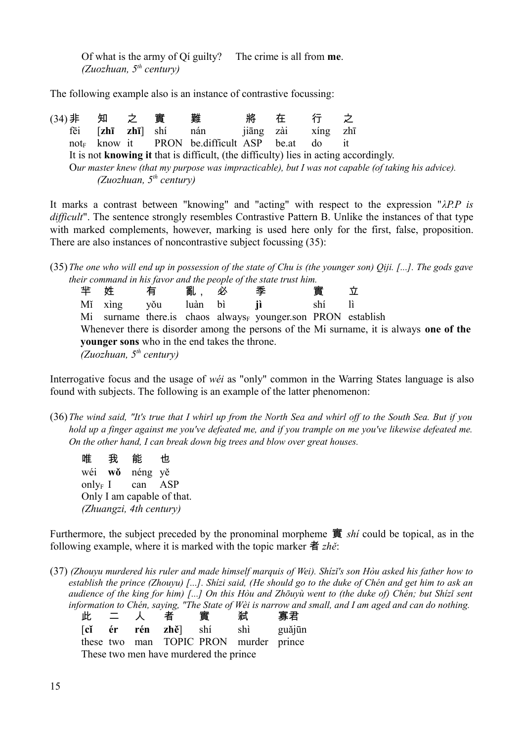Of what is the army of Qí guilty? The crime is all from **me**. *(Zuozhuan, 5th century)*

The following example also is an instance of contrastive focussing:

(34)非 知 之 實 難 將 在 行 之 fēi [**zhī zhī**] shí nán jiāng zài xíng zhī not<sub> $F$ </sub> know it PRON be.difficult ASP be.at do it It is not **knowing it** that is difficult, (the difficulty) lies in acting accordingly. O*ur master knew (that my purpose was impracticable), but I was not capable (of taking his advice). (Zuozhuan, 5th century)*

It marks a contrast between "knowing" and "acting" with respect to the expression "*λP.P is difficult*". The sentence strongly resembles Contrastive Pattern B. Unlike the instances of that type with marked complements, however, marking is used here only for the first, false, proposition. There are also instances of noncontrastive subject focussing (35):

(35)*The one who will end up in possession of the state of Chu is (the younger son) Qiji. [...]. The gods gave their command in his favor and the people of the state trust him.*

| 半 姓                                                                                     |                           | 有   | 亂       | 必 | 季                                                                        | 實   |  |  |  |  |
|-----------------------------------------------------------------------------------------|---------------------------|-----|---------|---|--------------------------------------------------------------------------|-----|--|--|--|--|
|                                                                                         | Mi xing                   | yŏu | luàn bì |   |                                                                          | shí |  |  |  |  |
|                                                                                         |                           |     |         |   | Mi surname there is chaos always <sub>F</sub> younger son PRON establish |     |  |  |  |  |
| Whenever there is disorder among the persons of the Mi surname, it is always one of the |                           |     |         |   |                                                                          |     |  |  |  |  |
| <b>younger</b> sons who in the end takes the throne.                                    |                           |     |         |   |                                                                          |     |  |  |  |  |
|                                                                                         | (Zuozhuan, $5th$ century) |     |         |   |                                                                          |     |  |  |  |  |

Interrogative focus and the usage of *wéi* as "only" common in the Warring States language is also found with subjects. The following is an example of the latter phenomenon:

- (36)*The wind said, "It's true that I whirl up from the North Sea and whirl off to the South Sea. But if you hold up a finger against me you've defeated me, and if you trample on me you've likewise defeated me. On the other hand, I can break down big trees and blow over great houses.*
	- 唯 我 能 也 wéi **wǒ** néng yě only<sub>F</sub> I can  $ASP$ Only I am capable of that. *(Zhuangzi, 4th century)*

Furthermore, the subject preceded by the pronominal morpheme 實 *shí* could be topical, as in the following example, where it is marked with the topic marker 者 *zhě*:

(37) *(Zhouyu murdered his ruler and made himself marquis of Wei). Shízǐ's son Hòu asked his father how to establish the prince (Zhouyu) [...]. Shízi said, (He should go to the duke of Chén and get him to ask an audience of the king for him) [...] On this Hòu and Zhōuyù went to (the duke of) Chén; but Shízǐ sent information to Chén, saying, "The State of Wèi is narrow and small, and I am aged and can do nothing.*

| 此                                      | 二人 |  | 者 | 實 | 弒                                      | 寡君     |  |  |  |  |
|----------------------------------------|----|--|---|---|----------------------------------------|--------|--|--|--|--|
|                                        |    |  |   |   | [ <b>cǐ ér rén zhě</b> ] shí shì       | guǎjūn |  |  |  |  |
|                                        |    |  |   |   | these two man TOPIC PRON murder prince |        |  |  |  |  |
| These two men have murdered the prince |    |  |   |   |                                        |        |  |  |  |  |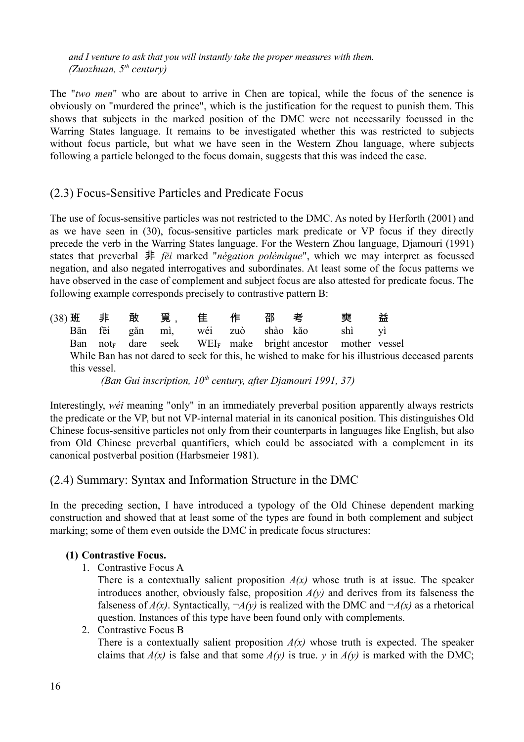*and I venture to ask that you will instantly take the proper measures with them. (Zuozhuan, 5th century)*

The "*two men*" who are about to arrive in Chen are topical, while the focus of the senence is obviously on "murdered the prince", which is the justification for the request to punish them. This shows that subjects in the marked position of the DMC were not necessarily focussed in the Warring States language. It remains to be investigated whether this was restricted to subjects without focus particle, but what we have seen in the Western Zhou language, where subjects following a particle belonged to the focus domain, suggests that this was indeed the case.

#### (2.3) Focus-Sensitive Particles and Predicate Focus

The use of focus-sensitive particles was not restricted to the DMC. As noted by Herforth (2001) and as we have seen in (30), focus-sensitive particles mark predicate or VP focus if they directly precede the verb in the Warring States language. For the Western Zhou language, Djamouri (1991) states that preverbal 非 *fēi* marked "*négation polémique*", which we may interpret as focussed negation, and also negated interrogatives and subordinates. At least some of the focus patterns we have observed in the case of complement and subject focus are also attested for predicate focus. The following example corresponds precisely to contrastive pattern B:

| $(38)$ 班 非   | 敢 | 覓,                       | 隹 | 作 | 邵考 |                                                                                    | 爾      | 益                                                                                                |
|--------------|---|--------------------------|---|---|----|------------------------------------------------------------------------------------|--------|--------------------------------------------------------------------------------------------------|
| Bān fēi      |   | găn mì, wéi zuò shào kăo |   |   |    |                                                                                    | shì vì |                                                                                                  |
|              |   |                          |   |   |    | Ban not <sub>F</sub> dare seek WEI <sub>F</sub> make bright ancestor mother vessel |        |                                                                                                  |
|              |   |                          |   |   |    |                                                                                    |        | While Ban has not dared to seek for this, he wished to make for his illustrious deceased parents |
| this vessel. |   |                          |   |   |    |                                                                                    |        |                                                                                                  |
|              |   |                          |   |   |    | $\sqrt{D}$ $C \cdot \cdot \cdot \cdot \cdot 10^{h}$ $C \cdot D \cdot \cdot 100127$ |        |                                                                                                  |

*(Ban Gui inscription, 10th century, after Djamouri 1991, 37)*

Interestingly, *wéi* meaning "only" in an immediately preverbal position apparently always restricts the predicate or the VP, but not VP-internal material in its canonical position. This distinguishes Old Chinese focus-sensitive particles not only from their counterparts in languages like English, but also from Old Chinese preverbal quantifiers, which could be associated with a complement in its canonical postverbal position (Harbsmeier 1981).

#### (2.4) Summary: Syntax and Information Structure in the DMC

In the preceding section, I have introduced a typology of the Old Chinese dependent marking construction and showed that at least some of the types are found in both complement and subject marking; some of them even outside the DMC in predicate focus structures:

#### **(1) Contrastive Focus.**

1. Contrastive Focus A

There is a contextually salient proposition  $A(x)$  whose truth is at issue. The speaker introduces another, obviously false, proposition  $A(y)$  and derives from its falseness the falseness of  $A(x)$ . Syntactically,  $\neg A(y)$  is realized with the DMC and  $\neg A(x)$  as a rhetorical question. Instances of this type have been found only with complements.

#### 2. Contrastive Focus B

There is a contextually salient proposition  $A(x)$  whose truth is expected. The speaker claims that  $A(x)$  is false and that some  $A(y)$  is true. *y* in  $A(y)$  is marked with the DMC;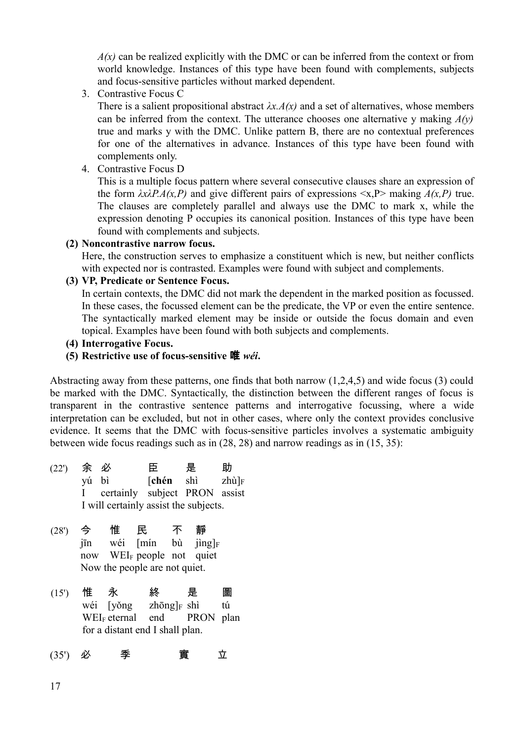$A(x)$  can be realized explicitly with the DMC or can be inferred from the context or from world knowledge. Instances of this type have been found with complements, subjects and focus-sensitive particles without marked dependent.

3. Contrastive Focus C

There is a salient propositional abstract  $\lambda x.A(x)$  and a set of alternatives, whose members can be inferred from the context. The utterance chooses one alternative y making *A(y)* true and marks y with the DMC. Unlike pattern B, there are no contextual preferences for one of the alternatives in advance. Instances of this type have been found with complements only.

4. Contrastive Focus D

This is a multiple focus pattern where several consecutive clauses share an expression of the form  $\lambda x \lambda P \cdot A(x, P)$  and give different pairs of expressions  $\langle x, P \rangle$  making  $A(x, P)$  true. The clauses are completely parallel and always use the DMC to mark x, while the expression denoting P occupies its canonical position. Instances of this type have been found with complements and subjects.

#### **(2) Noncontrastive narrow focus.**

Here, the construction serves to emphasize a constituent which is new, but neither conflicts with expected nor is contrasted. Examples were found with subject and complements.

#### **(3) VP, Predicate or Sentence Focus.**

In certain contexts, the DMC did not mark the dependent in the marked position as focussed. In these cases, the focussed element can be the predicate, the VP or even the entire sentence. The syntactically marked element may be inside or outside the focus domain and even topical. Examples have been found with both subjects and complements.

- **(4) Interrogative Focus.**
- **(5) Restrictive use of focus-sensitive** 唯 *wéi***.**

Abstracting away from these patterns, one finds that both narrow (1,2,4,5) and wide focus (3) could be marked with the DMC. Syntactically, the distinction between the different ranges of focus is transparent in the contrastive sentence patterns and interrogative focussing, where a wide interpretation can be excluded, but not in other cases, where only the context provides conclusive evidence. It seems that the DMC with focus-sensitive particles involves a systematic ambiguity between wide focus readings such as in (28, 28) and narrow readings as in (15, 35):

- (22') 余 必 臣 是 助 yú bì [**chén** shì zhù]<sup>F</sup> I certainly subject PRON assist I will certainly assist the subjects.
- (28') 今 惟 民 不 靜 jīn wéi [mín bù jìng]<sub>F</sub> now WEI<sub>F</sub> people not quiet Now the people are not quiet.
- (15') 惟 永 終 是 圖 wéi  $[v\eth ng]_F \sh$  tú WEI<sub>F</sub> eternal end PRON plan for a distant end I shall plan.

(35') 必 季 實 立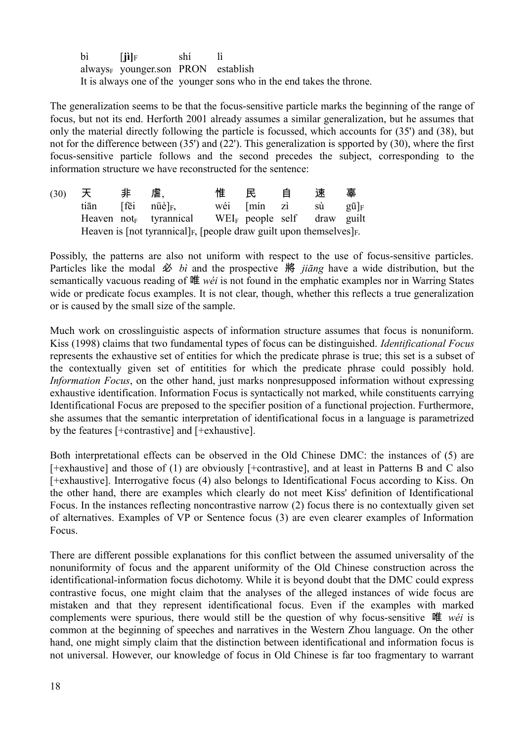bì  $[i]_F$  shí lì  $always<sub>F</sub>$  younger.son PRON establish It is always one of the younger sons who in the end takes the throne.

The generalization seems to be that the focus-sensitive particle marks the beginning of the range of focus, but not its end. Herforth 2001 already assumes a similar generalization, but he assumes that only the material directly following the particle is focussed, which accounts for (35') and (38), but not for the difference between (35') and (22'). This generalization is spported by (30), where the first focus-sensitive particle follows and the second precedes the subject, corresponding to the information structure we have reconstructed for the sentence:

| (30) | 天    | ――非 | 虐、                                                                                           | 惟 | 民           | 自 | 速  | 辜             |
|------|------|-----|----------------------------------------------------------------------------------------------|---|-------------|---|----|---------------|
|      | tiān |     | $[\tilde{\text{fe}}i \quad \text{n}\ddot{\text{u}}\text{e}]_F$                               |   | wéi [mín zì |   | sù | $g\bar{u} _F$ |
|      |      |     | Heaven not <sub>F</sub> tyrannical WEI <sub>F</sub> people self draw guilt                   |   |             |   |    |               |
|      |      |     | Heaven is [not tyrannical] <sub>F</sub> , [people draw guilt upon themselves] <sub>F</sub> . |   |             |   |    |               |

Possibly, the patterns are also not uniform with respect to the use of focus-sensitive particles. Particles like the modal 必 *bì* and the prospective 將 *jiāng* have a wide distribution, but the semantically vacuous reading of 唯 *wéi* is not found in the emphatic examples nor in Warring States wide or predicate focus examples. It is not clear, though, whether this reflects a true generalization or is caused by the small size of the sample.

Much work on crosslinguistic aspects of information structure assumes that focus is nonuniform. Kiss (1998) claims that two fundamental types of focus can be distinguished. *Identificational Focus* represents the exhaustive set of entities for which the predicate phrase is true; this set is a subset of the contextually given set of entitities for which the predicate phrase could possibly hold. *Information Focus*, on the other hand, just marks nonpresupposed information without expressing exhaustive identification. Information Focus is syntactically not marked, while constituents carrying Identificational Focus are preposed to the specifier position of a functional projection. Furthermore, she assumes that the semantic interpretation of identificational focus in a language is parametrized by the features [+contrastive] and [+exhaustive].

Both interpretational effects can be observed in the Old Chinese DMC: the instances of (5) are [+exhaustive] and those of (1) are obviously [+contrastive], and at least in Patterns B and C also [+exhaustive]. Interrogative focus (4) also belongs to Identificational Focus according to Kiss. On the other hand, there are examples which clearly do not meet Kiss' definition of Identificational Focus. In the instances reflecting noncontrastive narrow (2) focus there is no contextually given set of alternatives. Examples of VP or Sentence focus (3) are even clearer examples of Information Focus.

There are different possible explanations for this conflict between the assumed universality of the nonuniformity of focus and the apparent uniformity of the Old Chinese construction across the identificational-information focus dichotomy. While it is beyond doubt that the DMC could express contrastive focus, one might claim that the analyses of the alleged instances of wide focus are mistaken and that they represent identificational focus. Even if the examples with marked complements were spurious, there would still be the question of why focus-sensitive 唯 *wéi* is common at the beginning of speeches and narratives in the Western Zhou language. On the other hand, one might simply claim that the distinction between identificational and information focus is not universal. However, our knowledge of focus in Old Chinese is far too fragmentary to warrant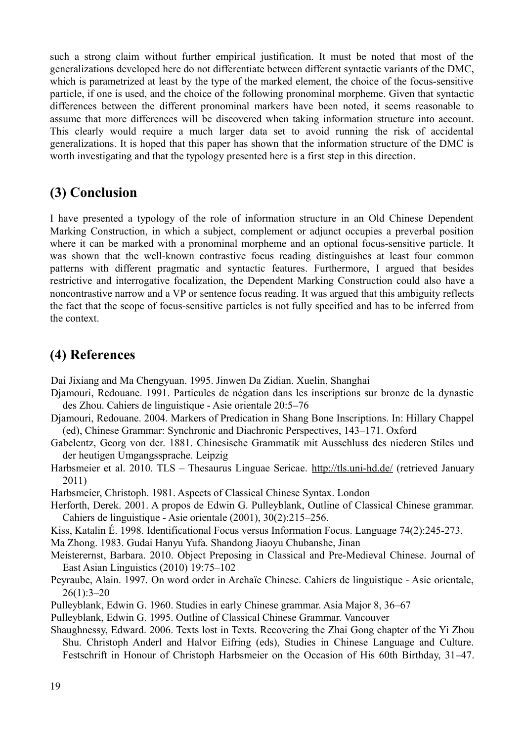such a strong claim without further empirical justification. It must be noted that most of the generalizations developed here do not differentiate between different syntactic variants of the DMC, which is parametrized at least by the type of the marked element, the choice of the focus-sensitive particle, if one is used, and the choice of the following pronominal morpheme. Given that syntactic differences between the different pronominal markers have been noted, it seems reasonable to assume that more differences will be discovered when taking information structure into account. This clearly would require a much larger data set to avoid running the risk of accidental generalizations. It is hoped that this paper has shown that the information structure of the DMC is worth investigating and that the typology presented here is a first step in this direction.

# **(3) Conclusion**

I have presented a typology of the role of information structure in an Old Chinese Dependent Marking Construction, in which a subject, complement or adjunct occupies a preverbal position where it can be marked with a pronominal morpheme and an optional focus-sensitive particle. It was shown that the well-known contrastive focus reading distinguishes at least four common patterns with different pragmatic and syntactic features. Furthermore, I argued that besides restrictive and interrogative focalization, the Dependent Marking Construction could also have a noncontrastive narrow and a VP or sentence focus reading. It was argued that this ambiguity reflects the fact that the scope of focus-sensitive particles is not fully specified and has to be inferred from the context.

# **(4) References**

Dai Jixiang and Ma Chengyuan. 1995. Jinwen Da Zidian. Xuelin, Shanghai

- Djamouri, Redouane. 1991. Particules de négation dans les inscriptions sur bronze de la dynastie des Zhou. Cahiers de linguistique - Asie orientale 20:5–76
- Djamouri, Redouane. 2004. Markers of Predication in Shang Bone Inscriptions. In: Hillary Chappel (ed), Chinese Grammar: Synchronic and Diachronic Perspectives, 143–171. Oxford
- Gabelentz, Georg von der. 1881. Chinesische Grammatik mit Ausschluss des niederen Stiles und der heutigen Umgangssprache. Leipzig
- Harbsmeier et al. 2010. TLS Thesaurus Linguae Sericae.<http://tls.uni-hd.de/>(retrieved January 2011)

Harbsmeier, Christoph. 1981. Aspects of Classical Chinese Syntax. London

- Herforth, Derek. 2001. A propos de Edwin G. Pulleyblank, Outline of Classical Chinese grammar. Cahiers de linguistique - Asie orientale (2001), 30(2):215–256.
- Kiss, Katalin É. 1998. Identificational Focus versus Information Focus. Language 74(2):245-273.

Ma Zhong. 1983. Gudai Hanyu Yufa. Shandong Jiaoyu Chubanshe, Jinan

Meisterernst, Barbara. 2010. Object Preposing in Classical and Pre-Medieval Chinese. Journal of East Asian Linguistics (2010) 19:75–102

Peyraube, Alain. 1997. On word order in Archaïc Chinese. Cahiers de linguistique - Asie orientale,  $26(1):3-20$ 

Pulleyblank, Edwin G. 1960. Studies in early Chinese grammar. Asia Major 8, 36–67

Pulleyblank, Edwin G. 1995. Outline of Classical Chinese Grammar. Vancouver

Shaughnessy, Edward. 2006. Texts lost in Texts. Recovering the Zhai Gong chapter of the Yi Zhou Shu. Christoph Anderl and Halvor Eifring (eds), Studies in Chinese Language and Culture. Festschrift in Honour of Christoph Harbsmeier on the Occasion of His 60th Birthday, 31–47.